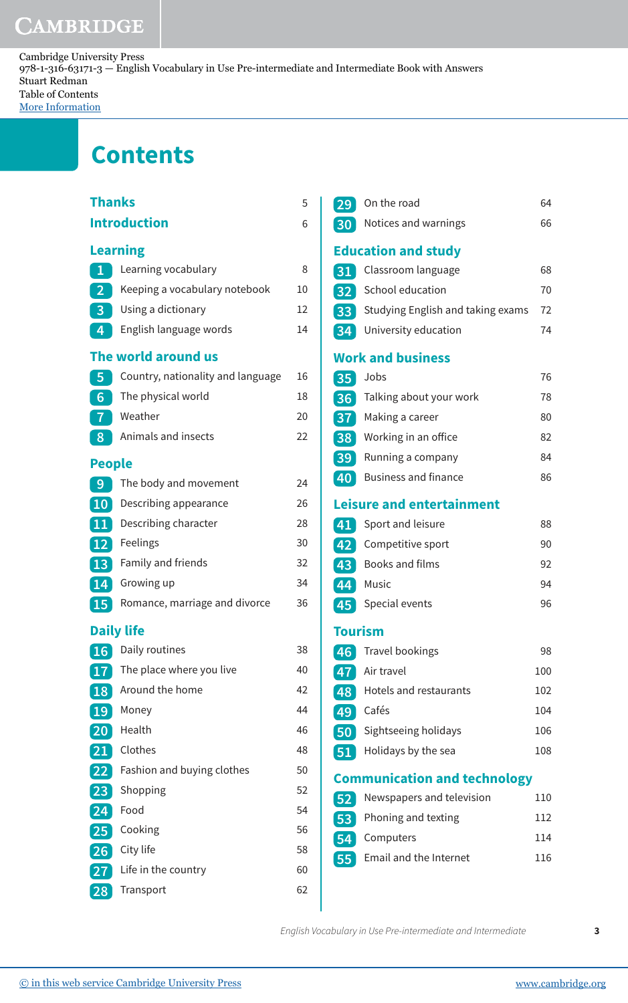## CAMBRIDGE

Cambridge University Press 978-1-316-63171-3 — English Vocabulary in Use Pre-intermediate and Intermediate Book with Answers Stuart Redman Table of Contents [More Information](www.cambridge.org/9781316631713)

## **Contents**

| <b>Thanks</b>       |                                   |    |  |  |
|---------------------|-----------------------------------|----|--|--|
| <b>Introduction</b> |                                   | 6  |  |  |
| <b>Learning</b>     |                                   |    |  |  |
| $\overline{1}$      | Learning vocabulary               | 8  |  |  |
| $\overline{2}$      | Keeping a vocabulary notebook     | 10 |  |  |
| $\overline{3}$      | Using a dictionary                | 12 |  |  |
| 4                   | English language words            | 14 |  |  |
|                     | The world around us               |    |  |  |
| 5                   | Country, nationality and language | 16 |  |  |
| 6                   | The physical world                | 18 |  |  |
| $\overline{1}$      | Weather                           | 20 |  |  |
| 8                   | Animals and insects               | 22 |  |  |
| <b>People</b>       |                                   |    |  |  |
| 9                   | The body and movement             | 24 |  |  |
| 10                  | Describing appearance             | 26 |  |  |
| 11                  | Describing character              | 28 |  |  |
| <b>12</b>           | Feelings                          | 30 |  |  |
| 13                  | Family and friends                | 32 |  |  |
| 14                  | Growing up                        | 34 |  |  |
| 15                  | Romance, marriage and divorce     | 36 |  |  |
|                     | <b>Daily life</b>                 |    |  |  |
| 16                  | Daily routines                    | 38 |  |  |
| 17                  | The place where you live          | 40 |  |  |
| 18                  | Around the home                   | 42 |  |  |
| 19                  | Money                             | 44 |  |  |
| 20                  | Health                            | 46 |  |  |
| 21                  | Clothes                           | 48 |  |  |
| 22                  | Fashion and buying clothes        | 50 |  |  |
| 23                  | Shopping                          | 52 |  |  |
| 24                  | Food                              | 54 |  |  |
| 25                  | Cooking                           | 56 |  |  |
| 26                  | City life                         | 58 |  |  |
| 27                  | Life in the country               | 60 |  |  |
| 28                  | Transport                         | 62 |  |  |

| 29              | On the road                            | 64  |
|-----------------|----------------------------------------|-----|
| 30              | Notices and warnings                   | 66  |
|                 |                                        |     |
|                 | <b>Education and study</b>             | 68  |
| 31              | Classroom language<br>School education | 70  |
| 32              |                                        |     |
| 33              | Studying English and taking exams      | 72  |
| 34              | University education                   | 74  |
|                 | <b>Work and business</b>               |     |
| 35              | Jobs                                   | 76  |
| 36              | Talking about your work                | 78  |
| 37              | Making a career                        | 80  |
| 38 <sup>7</sup> | Working in an office                   | 82  |
| 39              | Running a company                      | 84  |
| 40              | <b>Business and finance</b>            | 86  |
|                 | <b>Leisure and entertainment</b>       |     |
| 41              | Sport and leisure                      | 88  |
| 42              | Competitive sport                      | 90  |
| 43              | Books and films                        | 92  |
| 44              | Music                                  | 94  |
| 45              | Special events                         | 96  |
| <b>Tourism</b>  |                                        |     |
| 46              | <b>Travel bookings</b>                 | 98  |
| 47              | Air travel                             | 100 |
| 48              | Hotels and restaurants                 | 102 |
| 49              | Cafés                                  | 104 |
| 50              | Sightseeing holidays                   | 106 |
| 51              | Holidays by the sea                    | 108 |
|                 | <b>Communication and technology</b>    |     |
|                 | Newspapers and television              | 110 |
| 52              | Phoning and texting                    | 112 |
| 53              |                                        |     |
| 54              | Computers                              | 114 |
| 55              | Email and the Internet                 | 116 |
|                 |                                        |     |

English Vocabulary in Use Pre-intermediate and Intermediate **3**